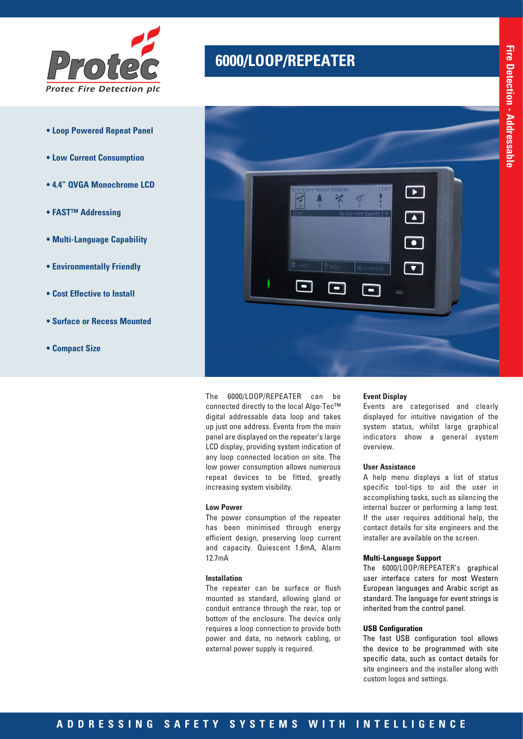

- **Loop Powered Repeat Panel**
- **Low Current Consumption**
- **4.4" QVGA Monochrome LCD**
- **FAST™ Addressing**
- **Multi-Language Capability**
- **Environmentally Friendly**
- **Cost Effective to Install**
- **Surface or Recess Mounted**
- **Compact Size**

# **6000/LOOP/REPEATER** *Protec*



The 6000/LOOP/REPEATER can be connected directly to the local Algo-Tec™ digital addressable data loop and takes up just one address. Events from the main panel are displayed on the repeater's large LCD display, providing system indication of any loop connected location on site. The low power consumption allows numerous repeat devices to be fitted, greatly increasing system visibility.

### **Low Power**

The power consumption of the repeater has been minimised through energy efficient design, preserving loop current and capacity. Quiescent 1.6mA, Alarm 12.7mA

#### **Installation**

The repeater can be surface or flush mounted as standard, allowing gland or conduit entrance through the rear, top or bottom of the enclosure. The device only requires a loop connection to provide both power and data, no network cabling, or external power supply is required.

#### **Event Display**

Events are categorised and clearly displayed for intuitive navigation of the system status, whilst large graphical indicators show a general system overview.

### **User Assistance**

A help menu displays a list of status specific tool-tips to aid the user in accomplishing tasks, such as silencing the internal buzzer or performing a lamp test. If the user requires additional help, the contact details for site engineers and the installer are available on the screen.

### **Multi-Language Support**

The 6000/LOOP/REPEATER's graphical user interface caters for most Western European languages and Arabic script as standard. The language for event strings is inherited from the control panel.

### **USB Configuration**

The fast USB configuration tool allows the device to be programmed with site specific data, such as contact details for site engineers and the installer along with custom logos and settings.